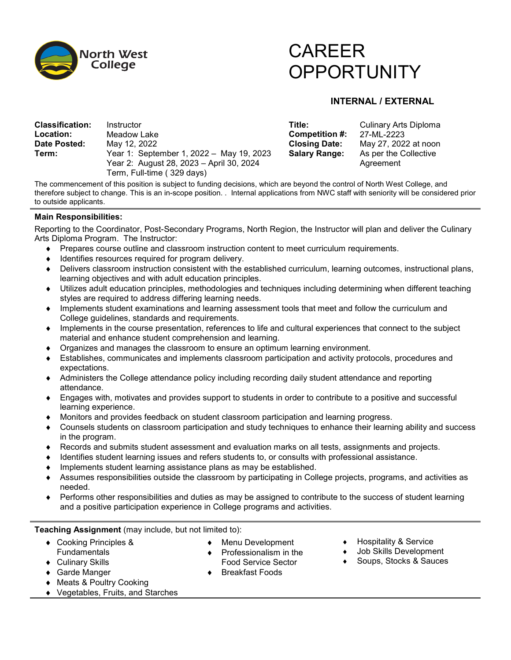

# CAREER **OPPORTUNITY**

## **INTERNAL / EXTERNAL**

| <b>Classification:</b> | Instructor                                                                           | Title:               | Culinary Arts Diploma              |
|------------------------|--------------------------------------------------------------------------------------|----------------------|------------------------------------|
| Location:              | Meadow Lake                                                                          | Competition #:       | 27-ML-2223                         |
| Date Posted:           | May 12, 2022                                                                         | <b>Closing Date:</b> | May 27, 2022 at noon               |
| Term:                  | Year 1: September 1, 2022 - May 19, 2023<br>Year 2: August 28, 2023 – April 30, 2024 | <b>Salary Range:</b> | As per the Collective<br>Agreement |
|                        | Term, Full-time ( 329 days)                                                          |                      |                                    |

The commencement of this position is subject to funding decisions, which are beyond the control of North West College, and therefore subject to change. This is an in-scope position. . Internal applications from NWC staff with seniority will be considered prior to outside applicants.

### **Main Responsibilities:**

Reporting to the Coordinator, Post-Secondary Programs, North Region, the Instructor will plan and deliver the Culinary Arts Diploma Program. The Instructor:

- ♦ Prepares course outline and classroom instruction content to meet curriculum requirements.
- ♦ Identifies resources required for program delivery.
- ♦ Delivers classroom instruction consistent with the established curriculum, learning outcomes, instructional plans, learning objectives and with adult education principles.
- Utilizes adult education principles, methodologies and techniques including determining when different teaching styles are required to address differing learning needs.
- ♦ Implements student examinations and learning assessment tools that meet and follow the curriculum and College guidelines, standards and requirements.
- ♦ Implements in the course presentation, references to life and cultural experiences that connect to the subject material and enhance student comprehension and learning.
- ♦ Organizes and manages the classroom to ensure an optimum learning environment.
- Establishes, communicates and implements classroom participation and activity protocols, procedures and expectations.
- ♦ Administers the College attendance policy including recording daily student attendance and reporting attendance.
- Engages with, motivates and provides support to students in order to contribute to a positive and successful learning experience.
- Monitors and provides feedback on student classroom participation and learning progress.
- ♦ Counsels students on classroom participation and study techniques to enhance their learning ability and success in the program.
- ♦ Records and submits student assessment and evaluation marks on all tests, assignments and projects.
- Identifies student learning issues and refers students to, or consults with professional assistance.
- Implements student learning assistance plans as may be established.
- Assumes responsibilities outside the classroom by participating in College projects, programs, and activities as needed.
- Performs other responsibilities and duties as may be assigned to contribute to the success of student learning and a positive participation experience in College programs and activities.

**Teaching Assignment** (may include, but not limited to):

- ♦ Cooking Principles & **Fundamentals**
- ♦ Menu Development **Professionalism in the**
- ♦ Culinary Skills
- ♦ Garde Manger
- 
- **Breakfast Foods**
- ♦ Meats & Poultry Cooking
- ♦ Vegetables, Fruits, and Starches
- Food Service Sector
- ♦ Hospitality & Service
- Job Skills Development
- Soups, Stocks & Sauces